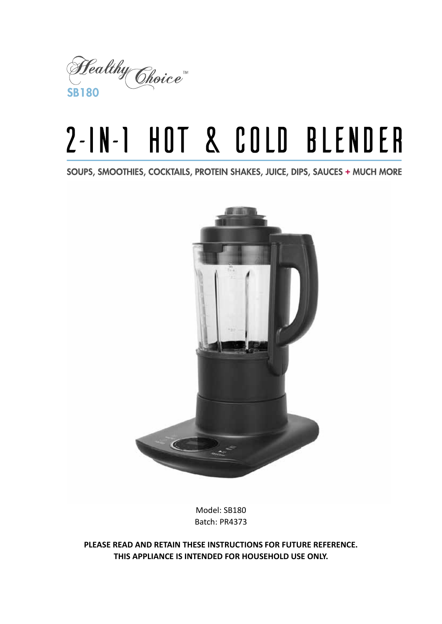

# 2-IN-I HOT & COLD BLENDER

SOUPS, SMOOTHIES, COCKTAILS, PROTEIN SHAKES, JUICE, DIPS, SAUCES + MUCH MORE



Model: SB180 Batch: PR4373

**PLEASE READ AND RETAIN THESE INSTRUCTIONS FOR FUTURE REFERENCE. THIS APPLIANCE IS INTENDED FOR HOUSEHOLD USE ONLY.**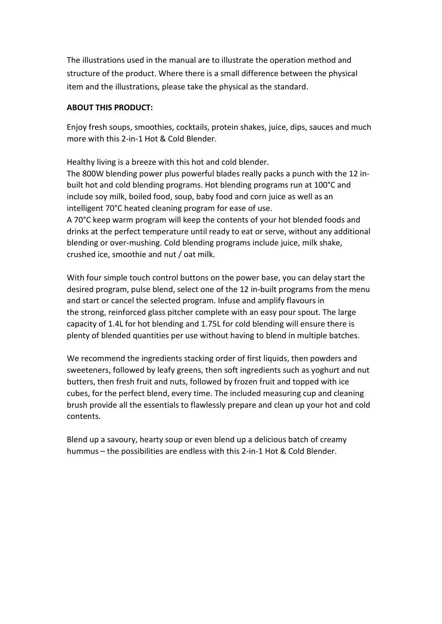The illustrations used in the manual are to illustrate the operation method and structure of the product. Where there is a small difference between the physical item and the illustrations, please take the physical as the standard.

## **ABOUT THIS PRODUCT:**

Enjoy fresh soups, smoothies, cocktails, protein shakes, juice, dips, sauces and much more with this 2-in-1 Hot & Cold Blender.

Healthy living is a breeze with this hot and cold blender.

The 800W blending power plus powerful blades really packs a punch with the 12 inbuilt hot and cold blending programs. Hot blending programs run at 100°C and include soy milk, boiled food, soup, baby food and corn juice as well as an intelligent 70°C heated cleaning program for ease of use.

A 70°C keep warm program will keep the contents of your hot blended foods and drinks at the perfect temperature until ready to eat or serve, without any additional blending or over-mushing. Cold blending programs include juice, milk shake, crushed ice, smoothie and nut / oat milk.

With four simple touch control buttons on the power base, you can delay start the desired program, pulse blend, select one of the 12 in-built programs from the menu and start or cancel the selected program. Infuse and amplify flavours in the strong, reinforced glass pitcher complete with an easy pour spout. The large capacity of 1.4L for hot blending and 1.75L for cold blending will ensure there is plenty of blended quantities per use without having to blend in multiple batches.

We recommend the ingredients stacking order of first liquids, then powders and sweeteners, followed by leafy greens, then soft ingredients such as yoghurt and nut butters, then fresh fruit and nuts, followed by frozen fruit and topped with ice cubes, for the perfect blend, every time. The included measuring cup and cleaning brush provide all the essentials to flawlessly prepare and clean up your hot and cold contents.

Blend up a savoury, hearty soup or even blend up a delicious batch of creamy hummus – the possibilities are endless with this 2-in-1 Hot & Cold Blender.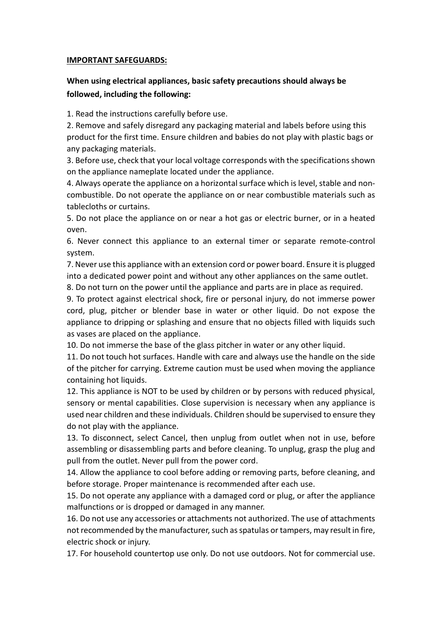## **IMPORTANT SAFEGUARDS:**

# **When using electrical appliances, basic safety precautions should always be followed, including the following:**

1. Read the instructions carefully before use.

2. Remove and safely disregard any packaging material and labels before using this product for the first time. Ensure children and babies do not play with plastic bags or any packaging materials.

3. Before use, check that your local voltage corresponds with the specifications shown on the appliance nameplate located under the appliance.

4. Always operate the appliance on a horizontal surface which is level, stable and noncombustible. Do not operate the appliance on or near combustible materials such as tablecloths or curtains.

5. Do not place the appliance on or near a hot gas or electric burner, or in a heated oven.

6. Never connect this appliance to an external timer or separate remote-control system.

7. Never use this appliance with an extension cord or power board. Ensure it is plugged into a dedicated power point and without any other appliances on the same outlet.

8. Do not turn on the power until the appliance and parts are in place as required.

9. To protect against electrical shock, fire or personal injury, do not immerse power cord, plug, pitcher or blender base in water or other liquid. Do not expose the appliance to dripping or splashing and ensure that no objects filled with liquids such as vases are placed on the appliance.

10. Do not immerse the base of the glass pitcher in water or any other liquid.

11. Do not touch hot surfaces. Handle with care and always use the handle on the side of the pitcher for carrying. Extreme caution must be used when moving the appliance containing hot liquids.

12. This appliance is NOT to be used by children or by persons with reduced physical, sensory or mental capabilities. Close supervision is necessary when any appliance is used near children and these individuals. Children should be supervised to ensure they do not play with the appliance.

13. To disconnect, select Cancel, then unplug from outlet when not in use, before assembling or disassembling parts and before cleaning. To unplug, grasp the plug and pull from the outlet. Never pull from the power cord.

14. Allow the appliance to cool before adding or removing parts, before cleaning, and before storage. Proper maintenance is recommended after each use.

15. Do not operate any appliance with a damaged cord or plug, or after the appliance malfunctions or is dropped or damaged in any manner.

16. Do not use any accessories or attachments not authorized. The use of attachments not recommended by the manufacturer, such as spatulas or tampers, may result in fire, electric shock or injury.

17. For household countertop use only. Do not use outdoors. Not for commercial use.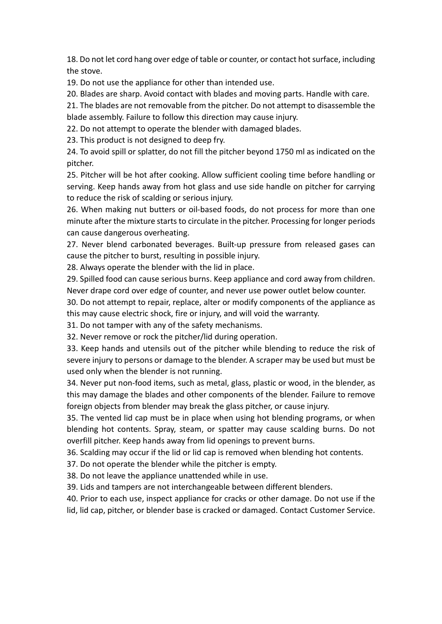18. Do not let cord hang over edge of table or counter, or contact hot surface, including the stove.

19. Do not use the appliance for other than intended use.

20. Blades are sharp. Avoid contact with blades and moving parts. Handle with care.

21. The blades are not removable from the pitcher. Do not attempt to disassemble the blade assembly. Failure to follow this direction may cause injury.

22. Do not attempt to operate the blender with damaged blades.

23. This product is not designed to deep fry.

24. To avoid spill or splatter, do not fill the pitcher beyond 1750 ml as indicated on the pitcher.

25. Pitcher will be hot after cooking. Allow sufficient cooling time before handling or serving. Keep hands away from hot glass and use side handle on pitcher for carrying to reduce the risk of scalding or serious injury.

26. When making nut butters or oil-based foods, do not process for more than one minute after the mixture starts to circulate in the pitcher. Processing for longer periods can cause dangerous overheating.

27. Never blend carbonated beverages. Built-up pressure from released gases can cause the pitcher to burst, resulting in possible injury.

28. Always operate the blender with the lid in place.

29. Spilled food can cause serious burns. Keep appliance and cord away from children. Never drape cord over edge of counter, and never use power outlet below counter.

30. Do not attempt to repair, replace, alter or modify components of the appliance as this may cause electric shock, fire or injury, and will void the warranty.

31. Do not tamper with any of the safety mechanisms.

32. Never remove or rock the pitcher/lid during operation.

33. Keep hands and utensils out of the pitcher while blending to reduce the risk of severe injury to persons or damage to the blender. A scraper may be used but must be used only when the blender is not running.

34. Never put non-food items, such as metal, glass, plastic or wood, in the blender, as this may damage the blades and other components of the blender. Failure to remove foreign objects from blender may break the glass pitcher, or cause injury.

35. The vented lid cap must be in place when using hot blending programs, or when blending hot contents. Spray, steam, or spatter may cause scalding burns. Do not overfill pitcher. Keep hands away from lid openings to prevent burns.

36. Scalding may occur if the lid or lid cap is removed when blending hot contents.

37. Do not operate the blender while the pitcher is empty.

38. Do not leave the appliance unattended while in use.

39. Lids and tampers are not interchangeable between different blenders.

40. Prior to each use, inspect appliance for cracks or other damage. Do not use if the

lid, lid cap, pitcher, or blender base is cracked or damaged. Contact Customer Service.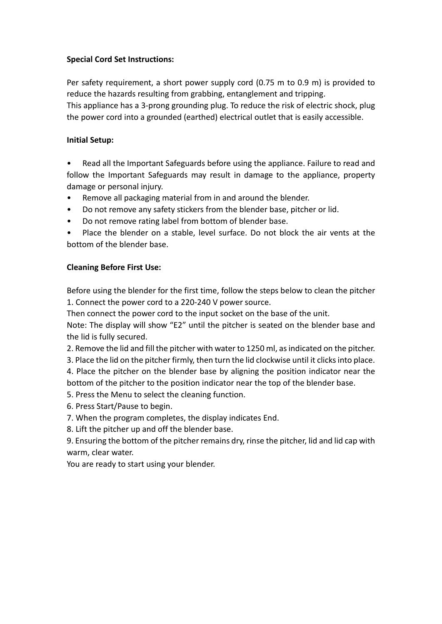# **Special Cord Set Instructions:**

Per safety requirement, a short power supply cord (0.75 m to 0.9 m) is provided to reduce the hazards resulting from grabbing, entanglement and tripping. This appliance has a 3-prong grounding plug. To reduce the risk of electric shock, plug the power cord into a grounded (earthed) electrical outlet that is easily accessible.

# **Initial Setup:**

• Read all the Important Safeguards before using the appliance. Failure to read and follow the Important Safeguards may result in damage to the appliance, property damage or personal injury.

- Remove all packaging material from in and around the blender.
- Do not remove any safety stickers from the blender base, pitcher or lid.
- Do not remove rating label from bottom of blender base.
- Place the blender on a stable, level surface. Do not block the air vents at the bottom of the blender base.

# **Cleaning Before First Use:**

Before using the blender for the first time, follow the steps below to clean the pitcher 1. Connect the power cord to a 220-240 V power source.

Then connect the power cord to the input socket on the base of the unit.

Note: The display will show "E2" until the pitcher is seated on the blender base and the lid is fully secured.

2. Remove the lid and fill the pitcher with water to 1250 ml, as indicated on the pitcher.

3. Place the lid on the pitcher firmly, then turn the lid clockwise until it clicks into place.

4. Place the pitcher on the blender base by aligning the position indicator near the bottom of the pitcher to the position indicator near the top of the blender base.

5. Press the Menu to select the cleaning function.

- 6. Press Start/Pause to begin.
- 7. When the program completes, the display indicates End.
- 8. Lift the pitcher up and off the blender base.

9. Ensuring the bottom of the pitcher remains dry, rinse the pitcher, lid and lid cap with warm, clear water.

You are ready to start using your blender.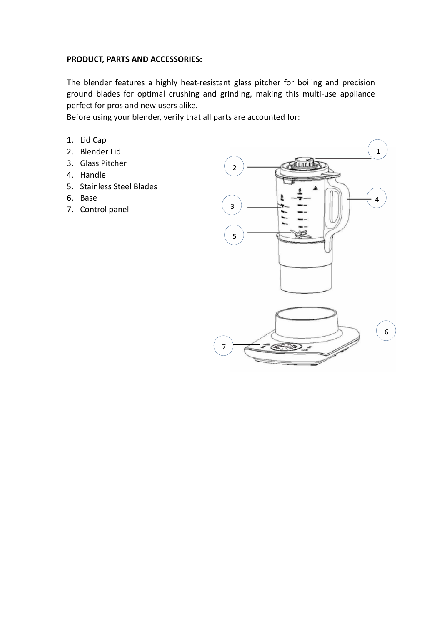## **PRODUCT, PARTS AND ACCESSORIES:**

The blender features a highly heat-resistant glass pitcher for boiling and precision ground blades for optimal crushing and grinding, making this multi-use appliance perfect for pros and new users alike.

Before using your blender, verify that all parts are accounted for:

- 1. Lid Cap
- 2. Blender Lid
- 3. Glass Pitcher
- 4. Handle
- 5. Stainless Steel Blades
- 6. Base
- 7. Control panel

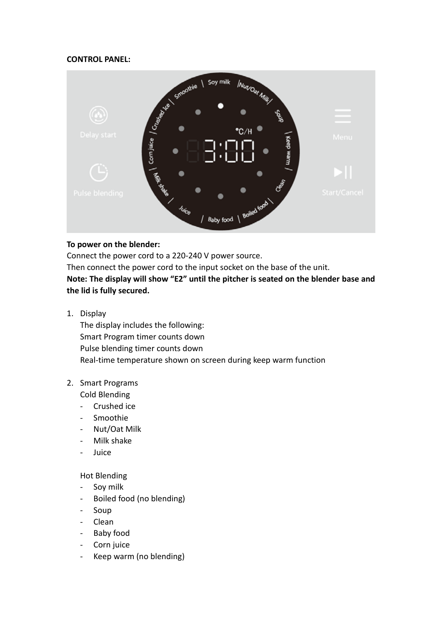## **CONTROL PANEL:**



#### **To power on the blender:**

Connect the power cord to a 220-240 V power source. Then connect the power cord to the input socket on the base of the unit. **Note: The display will show "E2" until the pitcher is seated on the blender base and the lid is fully secured.**

1. Display

The display includes the following: Smart Program timer counts down Pulse blending timer counts down Real-time temperature shown on screen during keep warm function

## 2. Smart Programs

Cold Blending

- Crushed ice
- Smoothie
- Nut/Oat Milk
- Milk shake
- Juice

## Hot Blending

- Soy milk
- Boiled food (no blending)
- Soup
- Clean
- Baby food
- Corn juice
- Keep warm (no blending)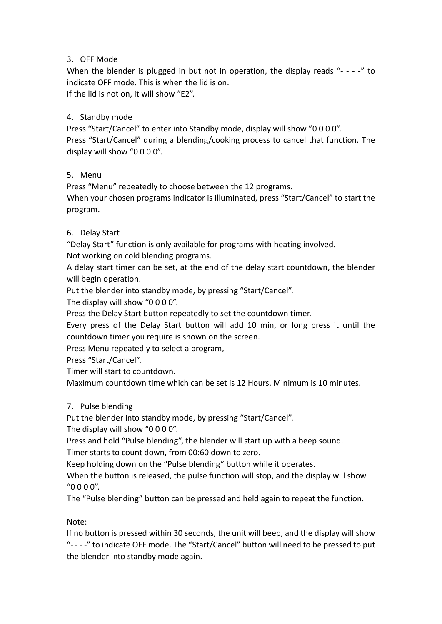# 3. OFF Mode

When the blender is plugged in but not in operation, the display reads "- - -" to indicate OFF mode. This is when the lid is on.

If the lid is not on, it will show "E2".

# 4. Standby mode

Press "Start/Cancel" to enter into Standby mode, display will show "0 0 0 0". Press "Start/Cancel" during a blending/cooking process to cancel that function. The display will show "0 0 0 0".

# 5. Menu

Press "Menu" repeatedly to choose between the 12 programs. When your chosen programs indicator is illuminated, press "Start/Cancel" to start the program.

# 6. Delay Start

"Delay Start" function is only available for programs with heating involved. Not working on cold blending programs.

A delay start timer can be set, at the end of the delay start countdown, the blender will begin operation.

Put the blender into standby mode, by pressing "Start/Cancel".

The display will show "0 0 0 0".

Press the Delay Start button repeatedly to set the countdown timer.

Every press of the Delay Start button will add 10 min, or long press it until the countdown timer you require is shown on the screen.

Press Menu repeatedly to select a program,

Press "Start/Cancel".

Timer will start to countdown.

Maximum countdown time which can be set is 12 Hours. Minimum is 10 minutes.

# 7. Pulse blending

Put the blender into standby mode, by pressing "Start/Cancel".

The display will show "0 0 0 0".

Press and hold "Pulse blending", the blender will start up with a beep sound.

Timer starts to count down, from 00:60 down to zero.

Keep holding down on the "Pulse blending" button while it operates.

When the button is released, the pulse function will stop, and the display will show "0 0 0 0".

The "Pulse blending" button can be pressed and held again to repeat the function.

Note:

If no button is pressed within 30 seconds, the unit will beep, and the display will show "- - - -" to indicate OFF mode. The "Start/Cancel" button will need to be pressed to put the blender into standby mode again.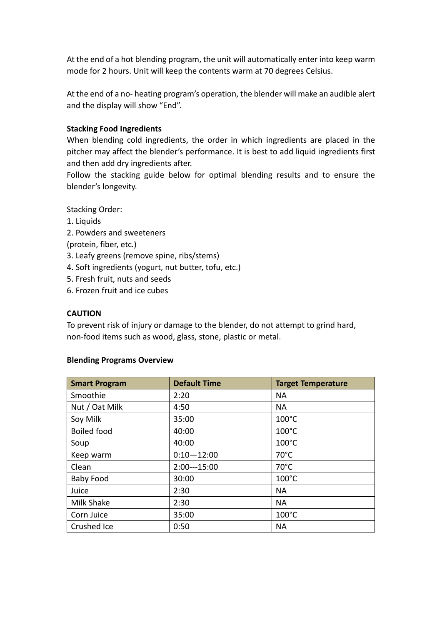At the end of a hot blending program, the unit will automatically enter into keep warm mode for 2 hours. Unit will keep the contents warm at 70 degrees Celsius.

At the end of a no- heating program's operation, the blender will make an audible alert and the display will show "End".

## **Stacking Food Ingredients**

When blending cold ingredients, the order in which ingredients are placed in the pitcher may affect the blender's performance. It is best to add liquid ingredients first and then add dry ingredients after.

Follow the stacking guide below for optimal blending results and to ensure the blender's longevity.

Stacking Order:

- 1. Liquids
- 2. Powders and sweeteners
- (protein, fiber, etc.)
- 3. Leafy greens (remove spine, ribs/stems)
- 4. Soft ingredients (yogurt, nut butter, tofu, etc.)
- 5. Fresh fruit, nuts and seeds
- 6. Frozen fruit and ice cubes

## **CAUTION**

To prevent risk of injury or damage to the blender, do not attempt to grind hard, non-food items such as wood, glass, stone, plastic or metal.

| <b>Smart Program</b> | <b>Default Time</b> | <b>Target Temperature</b> |  |  |
|----------------------|---------------------|---------------------------|--|--|
| Smoothie             | 2:20                | <b>NA</b>                 |  |  |
| Nut / Oat Milk       | 4:50                | <b>NA</b>                 |  |  |
| Soy Milk             | 35:00               | $100^{\circ}$ C           |  |  |
| <b>Boiled food</b>   | 40:00               | $100^{\circ}$ C           |  |  |
| Soup                 | 40:00               | $100^{\circ}$ C           |  |  |
| Keep warm            | $0:10 - 12:00$      | $70^{\circ}$ C            |  |  |
| Clean                | $2:00--15:00$       | $70^{\circ}$ C            |  |  |
| <b>Baby Food</b>     | 30:00               | $100^{\circ}$ C           |  |  |
| Juice                | 2:30                | <b>NA</b>                 |  |  |
| Milk Shake           | 2:30                | <b>NA</b>                 |  |  |
| Corn Juice           | 35:00               | $100^{\circ}$ C           |  |  |
| Crushed Ice          | 0:50                | <b>NA</b>                 |  |  |

## **Blending Programs Overview**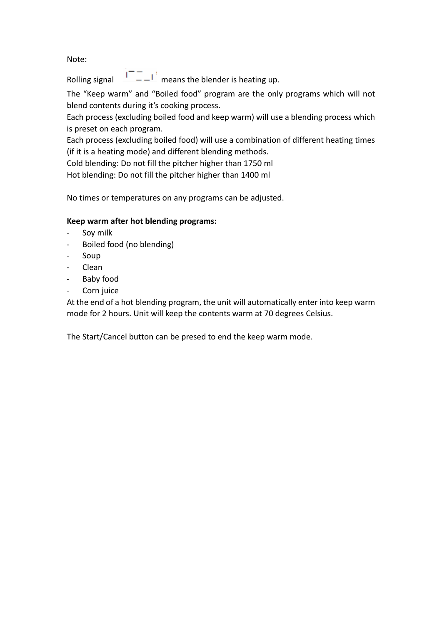Note:

Rolling signal  $\frac{1}{n}$  means the blender is heating up.

The "Keep warm" and "Boiled food" program are the only programs which will not blend contents during it's cooking process.

Each process (excluding boiled food and keep warm) will use a blending process which is preset on each program.

Each process (excluding boiled food) will use a combination of different heating times (if it is a heating mode) and different blending methods.

Cold blending: Do not fill the pitcher higher than 1750 ml

Hot blending: Do not fill the pitcher higher than 1400 ml

No times or temperatures on any programs can be adjusted.

# **Keep warm after hot blending programs:**

- Soy milk
- Boiled food (no blending)
- Soup
- Clean
- Baby food
- Corn juice

At the end of a hot blending program, the unit will automatically enter into keep warm mode for 2 hours. Unit will keep the contents warm at 70 degrees Celsius.

The Start/Cancel button can be presed to end the keep warm mode.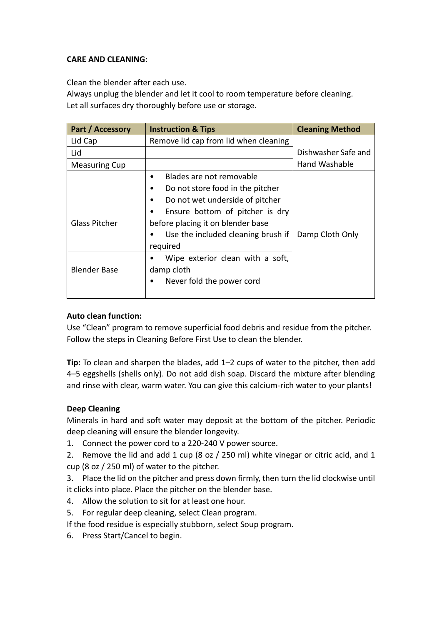# **CARE AND CLEANING:**

Clean the blender after each use.

Always unplug the blender and let it cool to room temperature before cleaning. Let all surfaces dry thoroughly before use or storage.

| Part / Accessory     | <b>Instruction &amp; Tips</b>                 | <b>Cleaning Method</b> |
|----------------------|-----------------------------------------------|------------------------|
| Lid Cap              | Remove lid cap from lid when cleaning         |                        |
| Lid                  |                                               | Dishwasher Safe and    |
| <b>Measuring Cup</b> |                                               | Hand Washable          |
|                      | Blades are not removable<br>$\bullet$         |                        |
|                      | Do not store food in the pitcher<br>$\bullet$ |                        |
|                      | Do not wet underside of pitcher               |                        |
|                      | Ensure bottom of pitcher is dry               |                        |
| <b>Glass Pitcher</b> | before placing it on blender base             |                        |
|                      | Use the included cleaning brush if            | Damp Cloth Only        |
|                      | required                                      |                        |
|                      | Wipe exterior clean with a soft,              |                        |
| <b>Blender Base</b>  | damp cloth                                    |                        |
|                      | Never fold the power cord<br>$\bullet$        |                        |
|                      |                                               |                        |

# **Auto clean function:**

Use "Clean" program to remove superficial food debris and residue from the pitcher. Follow the steps in Cleaning Before First Use to clean the blender.

**Tip:** To clean and sharpen the blades, add 1–2 cups of water to the pitcher, then add 4–5 eggshells (shells only). Do not add dish soap. Discard the mixture after blending and rinse with clear, warm water. You can give this calcium-rich water to your plants!

# **Deep Cleaning**

Minerals in hard and soft water may deposit at the bottom of the pitcher. Periodic deep cleaning will ensure the blender longevity.

- 1. Connect the power cord to a 220-240 V power source.
- 2. Remove the lid and add 1 cup (8 oz / 250 ml) white vinegar or citric acid, and 1 cup (8 oz / 250 ml) of water to the pitcher.
- 3. Place the lid on the pitcher and press down firmly, then turn the lid clockwise until it clicks into place. Place the pitcher on the blender base.
- 4. Allow the solution to sit for at least one hour.
- 5. For regular deep cleaning, select Clean program.

If the food residue is especially stubborn, select Soup program.

6. Press Start/Cancel to begin.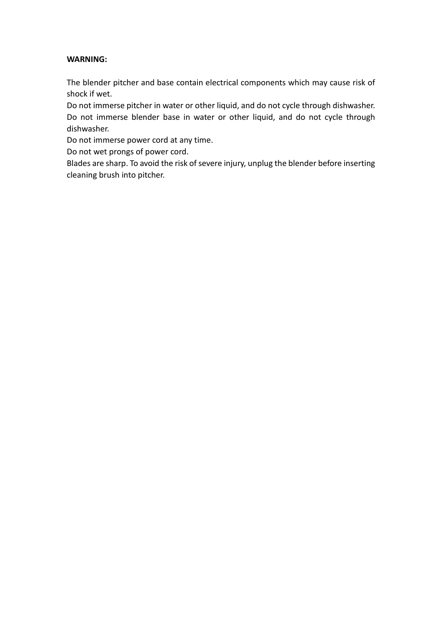## **WARNING:**

The blender pitcher and base contain electrical components which may cause risk of shock if wet.

Do not immerse pitcher in water or other liquid, and do not cycle through dishwasher. Do not immerse blender base in water or other liquid, and do not cycle through dishwasher.

Do not immerse power cord at any time.

Do not wet prongs of power cord.

Blades are sharp. To avoid the risk of severe injury, unplug the blender before inserting cleaning brush into pitcher.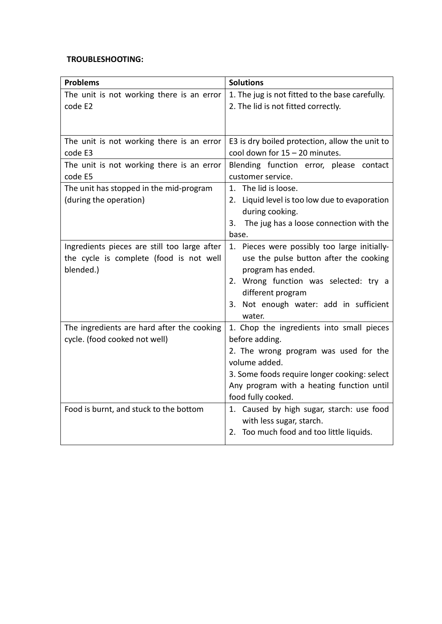## **TROUBLESHOOTING:**

| <b>Problems</b>                              | <b>Solutions</b>                                           |
|----------------------------------------------|------------------------------------------------------------|
| The unit is not working there is an error    | 1. The jug is not fitted to the base carefully.            |
| code E2                                      | 2. The lid is not fitted correctly.                        |
|                                              |                                                            |
| The unit is not working there is an error    | E3 is dry boiled protection, allow the unit to             |
| code E3                                      | cool down for $15 - 20$ minutes.                           |
| The unit is not working there is an error    | Blending function error, please contact                    |
| code E5                                      | customer service.                                          |
| The unit has stopped in the mid-program      | 1. The lid is loose.                                       |
| (during the operation)                       | 2. Liquid level is too low due to evaporation              |
|                                              | during cooking.                                            |
|                                              | The jug has a loose connection with the<br>3.              |
|                                              | base.                                                      |
| Ingredients pieces are still too large after | 1. Pieces were possibly too large initially-               |
| the cycle is complete (food is not well      | use the pulse button after the cooking                     |
| blended.)                                    | program has ended.                                         |
|                                              | 2. Wrong function was selected: try a<br>different program |
|                                              | 3. Not enough water: add in sufficient                     |
|                                              | water.                                                     |
| The ingredients are hard after the cooking   | 1. Chop the ingredients into small pieces                  |
| cycle. (food cooked not well)                | before adding.                                             |
|                                              | 2. The wrong program was used for the                      |
|                                              | volume added.                                              |
|                                              | 3. Some foods require longer cooking: select               |
|                                              | Any program with a heating function until                  |
|                                              | food fully cooked.                                         |
| Food is burnt, and stuck to the bottom       | 1. Caused by high sugar, starch: use food                  |
|                                              | with less sugar, starch.                                   |
|                                              | 2. Too much food and too little liquids.                   |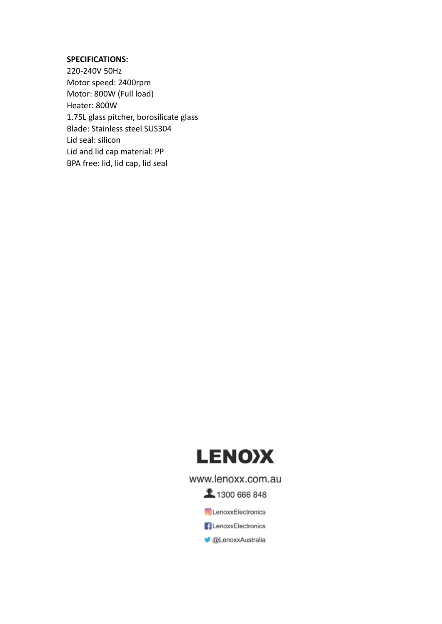## **SPECIFICATIONS:**

220-240V 50Hz Motor speed: 2400rpm Motor: 800W (Full load) Heater: 800W 1.75L glass pitcher, borosilicate glass Blade: Stainless steel SUS304 Lid seal: silicon Lid and lid cap material: PP BPA free: lid, lid cap, lid seal



# www.lenoxx.com.au

£ 1300 666 848

**O**LenoxxElectronics

**E**lenoxxElectronics

CLenoxxAustralia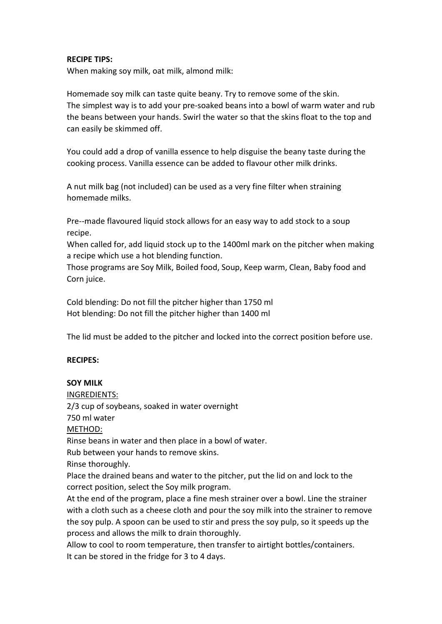## **RECIPE TIPS:**

When making soy milk, oat milk, almond milk:

Homemade soy milk can taste quite beany. Try to remove some of the skin. The simplest way is to add your pre-soaked beans into a bowl of warm water and rub the beans between your hands. Swirl the water so that the skins float to the top and can easily be skimmed off.

You could add a drop of vanilla essence to help disguise the beany taste during the cooking process. Vanilla essence can be added to flavour other milk drinks.

A nut milk bag (not included) can be used as a very fine filter when straining homemade milks.

Pre--made flavoured liquid stock allows for an easy way to add stock to a soup recipe.

When called for, add liquid stock up to the 1400ml mark on the pitcher when making a recipe which use a hot blending function.

Those programs are Soy Milk, Boiled food, Soup, Keep warm, Clean, Baby food and Corn juice.

Cold blending: Do not fill the pitcher higher than 1750 ml Hot blending: Do not fill the pitcher higher than 1400 ml

The lid must be added to the pitcher and locked into the correct position before use.

## **RECIPES:**

## **SOY MILK**

INGREDIENTS:

2/3 cup of soybeans, soaked in water overnight

750 ml water

# METHOD:

Rinse beans in water and then place in a bowl of water.

Rub between your hands to remove skins.

Rinse thoroughly.

Place the drained beans and water to the pitcher, put the lid on and lock to the correct position, select the Soy milk program.

At the end of the program, place a fine mesh strainer over a bowl. Line the strainer with a cloth such as a cheese cloth and pour the soy milk into the strainer to remove the soy pulp. A spoon can be used to stir and press the soy pulp, so it speeds up the process and allows the milk to drain thoroughly.

Allow to cool to room temperature, then transfer to airtight bottles/containers. It can be stored in the fridge for 3 to 4 days.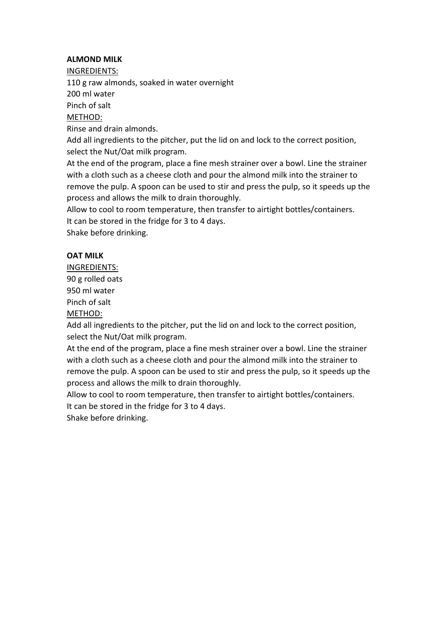# **ALMOND MILK**

INGREDIENTS:

110 g raw almonds, soaked in water overnight

200 ml water

Pinch of salt

# METHOD:

Rinse and drain almonds.

Add all ingredients to the pitcher, put the lid on and lock to the correct position, select the Nut/Oat milk program.

At the end of the program, place a fine mesh strainer over a bowl. Line the strainer with a cloth such as a cheese cloth and pour the almond milk into the strainer to remove the pulp. A spoon can be used to stir and press the pulp, so it speeds up the process and allows the milk to drain thoroughly.

Allow to cool to room temperature, then transfer to airtight bottles/containers.

It can be stored in the fridge for 3 to 4 days.

Shake before drinking.

# **OAT MILK**

INGREDIENTS:

90 g rolled oats

950 ml water

Pinch of salt

METHOD:

Add all ingredients to the pitcher, put the lid on and lock to the correct position, select the Nut/Oat milk program.

At the end of the program, place a fine mesh strainer over a bowl. Line the strainer with a cloth such as a cheese cloth and pour the almond milk into the strainer to remove the pulp. A spoon can be used to stir and press the pulp, so it speeds up the process and allows the milk to drain thoroughly.

Allow to cool to room temperature, then transfer to airtight bottles/containers. It can be stored in the fridge for 3 to 4 days.

Shake before drinking.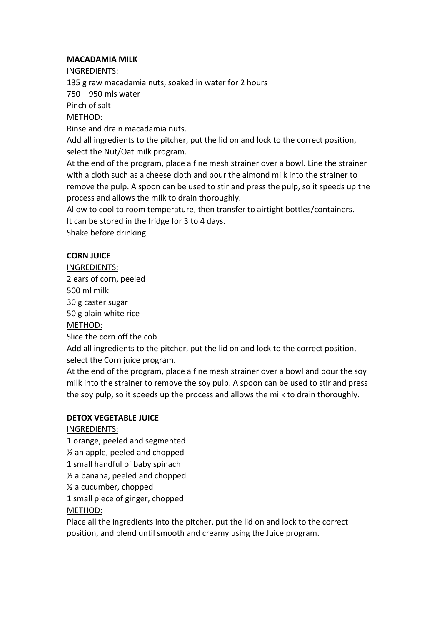## **MACADAMIA MILK**

INGREDIENTS:

135 g raw macadamia nuts, soaked in water for 2 hours

750 – 950 mls water

Pinch of salt

## METHOD:

Rinse and drain macadamia nuts.

Add all ingredients to the pitcher, put the lid on and lock to the correct position, select the Nut/Oat milk program.

At the end of the program, place a fine mesh strainer over a bowl. Line the strainer with a cloth such as a cheese cloth and pour the almond milk into the strainer to remove the pulp. A spoon can be used to stir and press the pulp, so it speeds up the process and allows the milk to drain thoroughly.

Allow to cool to room temperature, then transfer to airtight bottles/containers.

It can be stored in the fridge for 3 to 4 days.

Shake before drinking.

# **CORN JUICE**

INGREDIENTS:

2 ears of corn, peeled

500 ml milk

30 g caster sugar

50 g plain white rice

METHOD:

Slice the corn off the cob

Add all ingredients to the pitcher, put the lid on and lock to the correct position, select the Corn juice program.

At the end of the program, place a fine mesh strainer over a bowl and pour the soy milk into the strainer to remove the soy pulp. A spoon can be used to stir and press the soy pulp, so it speeds up the process and allows the milk to drain thoroughly.

## **DETOX VEGETABLE JUICE**

## INGREDIENTS:

1 orange, peeled and segmented

½ an apple, peeled and chopped

- 1 small handful of baby spinach
- ½ a banana, peeled and chopped
- ½ a cucumber, chopped

1 small piece of ginger, chopped

## METHOD:

Place all the ingredients into the pitcher, put the lid on and lock to the correct position, and blend until smooth and creamy using the Juice program.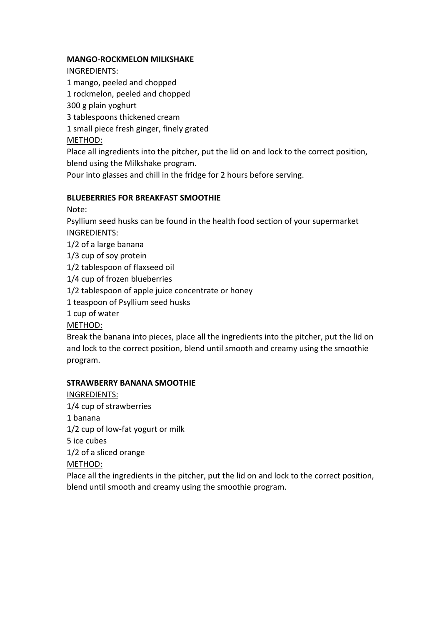## **MANGO-ROCKMELON MILKSHAKE**

INGREDIENTS:

1 mango, peeled and chopped 1 rockmelon, peeled and chopped 300 g plain yoghurt 3 tablespoons thickened cream 1 small piece fresh ginger, finely grated METHOD: Place all ingredients into the pitcher, put the lid on and lock to the correct position, blend using the Milkshake program. Pour into glasses and chill in the fridge for 2 hours before serving.

## **BLUEBERRIES FOR BREAKFAST SMOOTHIE**

Note:

Psyllium seed husks can be found in the health food section of your supermarket INGREDIENTS:

1/2 of a large banana

1/3 cup of soy protein

1/2 tablespoon of flaxseed oil

1/4 cup of frozen blueberries

1/2 tablespoon of apple juice concentrate or honey

1 teaspoon of Psyllium seed husks

1 cup of water

METHOD:

Break the banana into pieces, place all the ingredients into the pitcher, put the lid on and lock to the correct position, blend until smooth and creamy using the smoothie program.

# **STRAWBERRY BANANA SMOOTHIE**

INGREDIENTS: 1/4 cup of strawberries 1 banana 1/2 cup of low-fat yogurt or milk 5 ice cubes 1/2 of a sliced orange METHOD:

Place all the ingredients in the pitcher, put the lid on and lock to the correct position, blend until smooth and creamy using the smoothie program.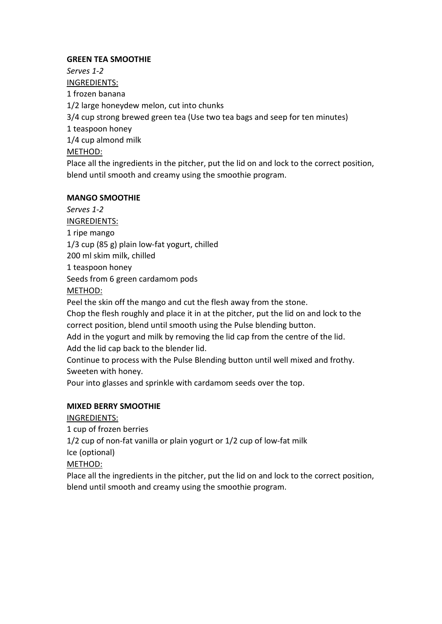## **GREEN TEA SMOOTHIE**

*Serves 1-2*  INGREDIENTS: 1 frozen banana 1/2 large honeydew melon, cut into chunks 3/4 cup strong brewed green tea (Use two tea bags and seep for ten minutes) 1 teaspoon honey 1/4 cup almond milk METHOD: Place all the ingredients in the pitcher, put the lid on and lock to the correct position, blend until smooth and creamy using the smoothie program.

## **MANGO SMOOTHIE**

*Serves 1-2*  INGREDIENTS: 1 ripe mango 1/3 cup (85 g) plain low-fat yogurt, chilled 200 ml skim milk, chilled 1 teaspoon honey Seeds from 6 green cardamom pods METHOD: Peel the skin off the mango and cut the flesh away from the stone. Chop the flesh roughly and place it in at the pitcher, put the lid on and lock to the correct position, blend until smooth using the Pulse blending button.

Add in the yogurt and milk by removing the lid cap from the centre of the lid. Add the lid cap back to the blender lid.

Continue to process with the Pulse Blending button until well mixed and frothy. Sweeten with honey.

Pour into glasses and sprinkle with cardamom seeds over the top.

# **MIXED BERRY SMOOTHIE**

# INGREDIENTS:

1 cup of frozen berries

1/2 cup of non-fat vanilla or plain yogurt or 1/2 cup of low-fat milk

Ice (optional)

METHOD:

Place all the ingredients in the pitcher, put the lid on and lock to the correct position, blend until smooth and creamy using the smoothie program.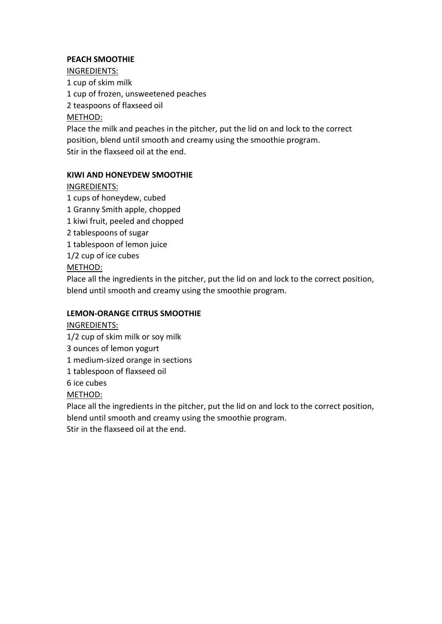## **PEACH SMOOTHIE**

INGREDIENTS: 1 cup of skim milk 1 cup of frozen, unsweetened peaches 2 teaspoons of flaxseed oil METHOD:

Place the milk and peaches in the pitcher, put the lid on and lock to the correct position, blend until smooth and creamy using the smoothie program. Stir in the flaxseed oil at the end.

# **KIWI AND HONEYDEW SMOOTHIE**

INGREDIENTS:

- 1 cups of honeydew, cubed
- 1 Granny Smith apple, chopped
- 1 kiwi fruit, peeled and chopped
- 2 tablespoons of sugar
- 1 tablespoon of lemon juice
- 1/2 cup of ice cubes

# METHOD:

Place all the ingredients in the pitcher, put the lid on and lock to the correct position, blend until smooth and creamy using the smoothie program.

# **LEMON-ORANGE CITRUS SMOOTHIE**

INGREDIENTS:

- 1/2 cup of skim milk or soy milk
- 3 ounces of lemon yogurt
- 1 medium-sized orange in sections
- 1 tablespoon of flaxseed oil

6 ice cubes

METHOD:

Place all the ingredients in the pitcher, put the lid on and lock to the correct position, blend until smooth and creamy using the smoothie program.

Stir in the flaxseed oil at the end.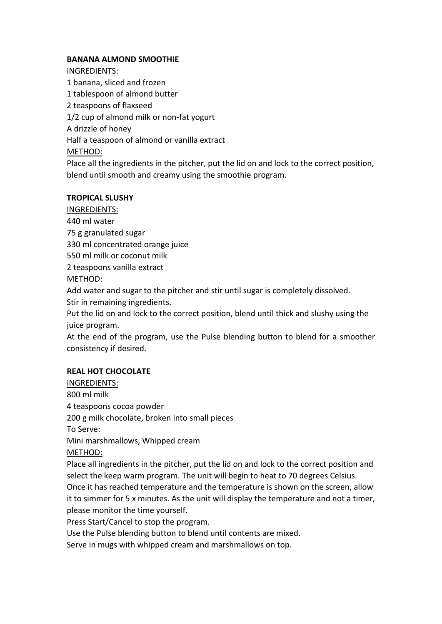## **BANANA ALMOND SMOOTHIE**

INGREDIENTS:

1 banana, sliced and frozen 1 tablespoon of almond butter 2 teaspoons of flaxseed 1/2 cup of almond milk or non-fat yogurt A drizzle of honey Half a teaspoon of almond or vanilla extract METHOD: Place all the ingredients in the pitcher, put the lid on and lock to the correct position, blend until smooth and creamy using the smoothie program.

## **TROPICAL SLUSHY**

INGREDIENTS:

440 ml water

75 g granulated sugar

330 ml concentrated orange juice

550 ml milk or coconut milk

2 teaspoons vanilla extract

## METHOD:

Add water and sugar to the pitcher and stir until sugar is completely dissolved.

Stir in remaining ingredients.

Put the lid on and lock to the correct position, blend until thick and slushy using the juice program.

At the end of the program, use the Pulse blending button to blend for a smoother consistency if desired.

# **REAL HOT CHOCOLATE**

INGREDIENTS: 800 ml milk 4 teaspoons cocoa powder 200 g milk chocolate, broken into small pieces To Serve: Mini marshmallows, Whipped cream

## METHOD:

Place all ingredients in the pitcher, put the lid on and lock to the correct position and select the keep warm program. The unit will begin to heat to 70 degrees Celsius. Once it has reached temperature and the temperature is shown on the screen, allow it to simmer for 5 x minutes. As the unit will display the temperature and not a timer, please monitor the time yourself.

Press Start/Cancel to stop the program.

Use the Pulse blending button to blend until contents are mixed.

Serve in mugs with whipped cream and marshmallows on top.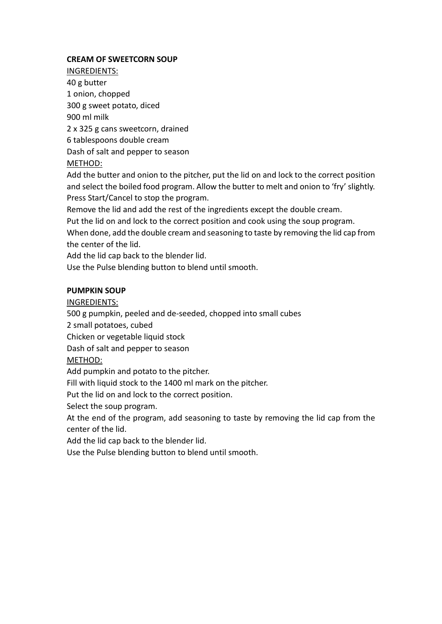## **CREAM OF SWEETCORN SOUP**

INGREDIENTS: 40 g butter 1 onion, chopped 300 g sweet potato, diced 900 ml milk 2 x 325 g cans sweetcorn, drained 6 tablespoons double cream Dash of salt and pepper to season METHOD:

Add the butter and onion to the pitcher, put the lid on and lock to the correct position and select the boiled food program. Allow the butter to melt and onion to 'fry' slightly. Press Start/Cancel to stop the program.

Remove the lid and add the rest of the ingredients except the double cream.

Put the lid on and lock to the correct position and cook using the soup program.

When done, add the double cream and seasoning to taste by removing the lid cap from the center of the lid.

Add the lid cap back to the blender lid.

Use the Pulse blending button to blend until smooth.

## **PUMPKIN SOUP**

## INGREDIENTS:

500 g pumpkin, peeled and de-seeded, chopped into small cubes

2 small potatoes, cubed

Chicken or vegetable liquid stock

Dash of salt and pepper to season

# METHOD:

Add pumpkin and potato to the pitcher.

Fill with liquid stock to the 1400 ml mark on the pitcher.

Put the lid on and lock to the correct position.

Select the soup program.

At the end of the program, add seasoning to taste by removing the lid cap from the center of the lid.

Add the lid cap back to the blender lid.

Use the Pulse blending button to blend until smooth.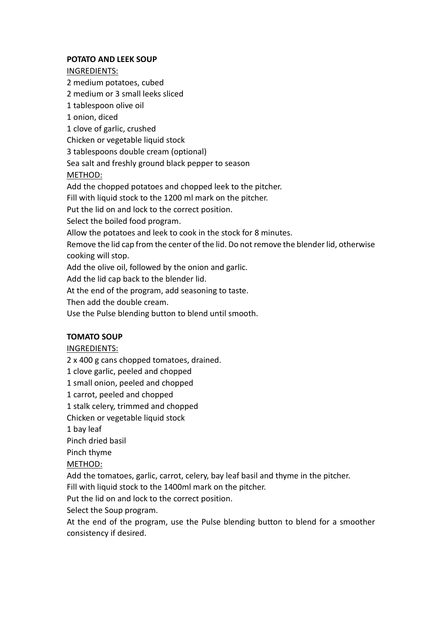## **POTATO AND LEEK SOUP**

INGREDIENTS:

2 medium potatoes, cubed

2 medium or 3 small leeks sliced

1 tablespoon olive oil

1 onion, diced

1 clove of garlic, crushed

Chicken or vegetable liquid stock

3 tablespoons double cream (optional)

Sea salt and freshly ground black pepper to season

# METHOD:

Add the chopped potatoes and chopped leek to the pitcher.

Fill with liquid stock to the 1200 ml mark on the pitcher.

Put the lid on and lock to the correct position.

Select the boiled food program.

Allow the potatoes and leek to cook in the stock for 8 minutes.

Remove the lid cap from the center of the lid. Do not remove the blender lid, otherwise cooking will stop.

Add the olive oil, followed by the onion and garlic.

Add the lid cap back to the blender lid.

At the end of the program, add seasoning to taste.

Then add the double cream.

Use the Pulse blending button to blend until smooth.

# **TOMATO SOUP**

# INGREDIENTS:

2 x 400 g cans chopped tomatoes, drained.

1 clove garlic, peeled and chopped

1 small onion, peeled and chopped

1 carrot, peeled and chopped

1 stalk celery, trimmed and chopped

Chicken or vegetable liquid stock

1 bay leaf

Pinch dried basil

Pinch thyme

# METHOD:

Add the tomatoes, garlic, carrot, celery, bay leaf basil and thyme in the pitcher.

Fill with liquid stock to the 1400ml mark on the pitcher.

Put the lid on and lock to the correct position.

Select the Soup program.

At the end of the program, use the Pulse blending button to blend for a smoother consistency if desired.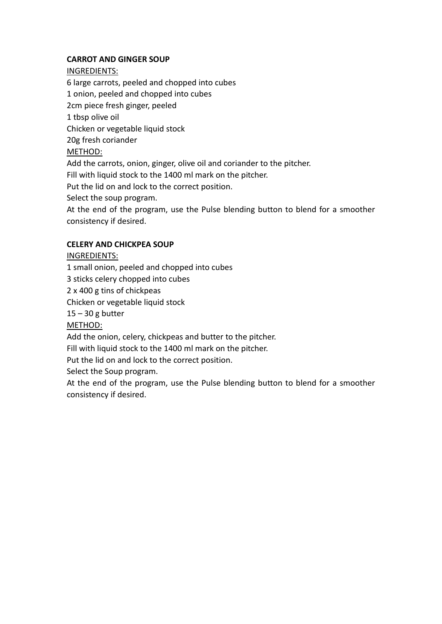## **CARROT AND GINGER SOUP**

INGREDIENTS:

6 large carrots, peeled and chopped into cubes 1 onion, peeled and chopped into cubes 2cm piece fresh ginger, peeled 1 tbsp olive oil Chicken or vegetable liquid stock 20g fresh coriander METHOD: Add the carrots, onion, ginger, olive oil and coriander to the pitcher. Fill with liquid stock to the 1400 ml mark on the pitcher.

Put the lid on and lock to the correct position.

Select the soup program.

At the end of the program, use the Pulse blending button to blend for a smoother consistency if desired.

# **CELERY AND CHICKPEA SOUP**

## INGREDIENTS:

1 small onion, peeled and chopped into cubes

3 sticks celery chopped into cubes

2 x 400 g tins of chickpeas

Chicken or vegetable liquid stock

 $15 - 30$  g butter

## METHOD:

Add the onion, celery, chickpeas and butter to the pitcher.

Fill with liquid stock to the 1400 ml mark on the pitcher.

Put the lid on and lock to the correct position.

Select the Soup program.

At the end of the program, use the Pulse blending button to blend for a smoother consistency if desired.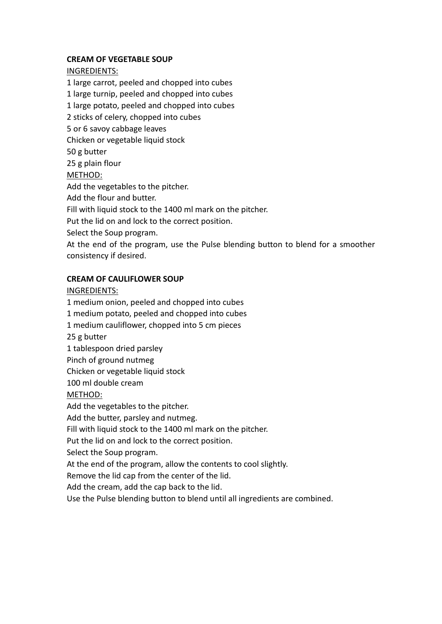## **CREAM OF VEGETABLE SOUP**

## INGREDIENTS:

1 large carrot, peeled and chopped into cubes 1 large turnip, peeled and chopped into cubes 1 large potato, peeled and chopped into cubes 2 sticks of celery, chopped into cubes 5 or 6 savoy cabbage leaves Chicken or vegetable liquid stock 50 g butter 25 g plain flour METHOD: Add the vegetables to the pitcher. Add the flour and butter. Fill with liquid stock to the 1400 ml mark on the pitcher. Put the lid on and lock to the correct position. Select the Soup program.

At the end of the program, use the Pulse blending button to blend for a smoother consistency if desired.

## **CREAM OF CAULIFLOWER SOUP**

## INGREDIENTS:

1 medium onion, peeled and chopped into cubes 1 medium potato, peeled and chopped into cubes 1 medium cauliflower, chopped into 5 cm pieces 25 g butter 1 tablespoon dried parsley Pinch of ground nutmeg Chicken or vegetable liquid stock 100 ml double cream METHOD: Add the vegetables to the pitcher. Add the butter, parsley and nutmeg. Fill with liquid stock to the 1400 ml mark on the pitcher. Put the lid on and lock to the correct position. Select the Soup program. At the end of the program, allow the contents to cool slightly. Remove the lid cap from the center of the lid. Add the cream, add the cap back to the lid. Use the Pulse blending button to blend until all ingredients are combined.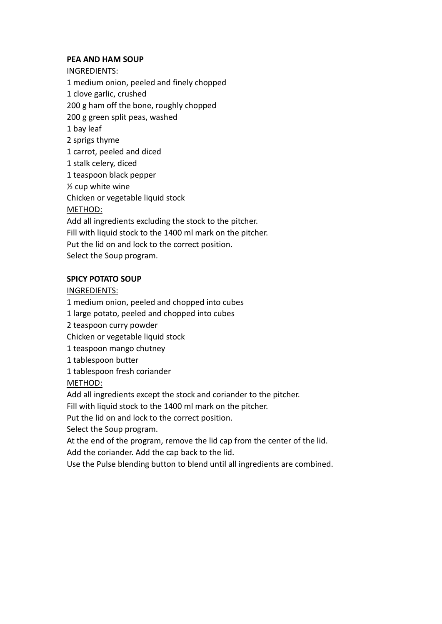### **PEA AND HAM SOUP**

INGREDIENTS:

1 medium onion, peeled and finely chopped 1 clove garlic, crushed 200 g ham off the bone, roughly chopped 200 g green split peas, washed 1 bay leaf 2 sprigs thyme 1 carrot, peeled and diced 1 stalk celery, diced 1 teaspoon black pepper ½ cup white wine Chicken or vegetable liquid stock METHOD:

Add all ingredients excluding the stock to the pitcher. Fill with liquid stock to the 1400 ml mark on the pitcher. Put the lid on and lock to the correct position. Select the Soup program.

## **SPICY POTATO SOUP**

INGREDIENTS:

1 medium onion, peeled and chopped into cubes

1 large potato, peeled and chopped into cubes

2 teaspoon curry powder

Chicken or vegetable liquid stock

1 teaspoon mango chutney

1 tablespoon butter

1 tablespoon fresh coriander

METHOD:

Add all ingredients except the stock and coriander to the pitcher.

Fill with liquid stock to the 1400 ml mark on the pitcher.

Put the lid on and lock to the correct position.

Select the Soup program.

At the end of the program, remove the lid cap from the center of the lid. Add the coriander. Add the cap back to the lid.

Use the Pulse blending button to blend until all ingredients are combined.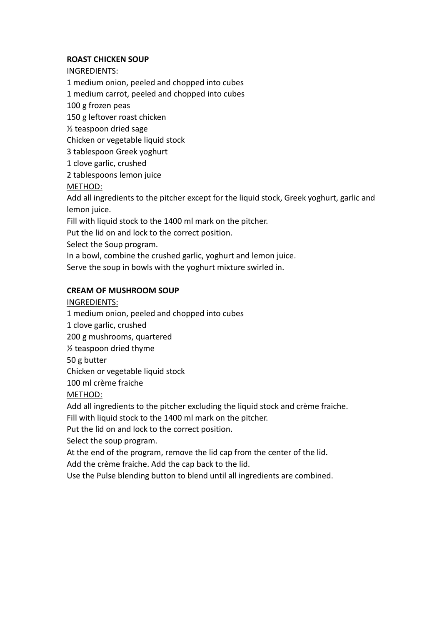## **ROAST CHICKEN SOUP**

INGREDIENTS:

1 medium onion, peeled and chopped into cubes

1 medium carrot, peeled and chopped into cubes

100 g frozen peas

150 g leftover roast chicken

½ teaspoon dried sage

Chicken or vegetable liquid stock

3 tablespoon Greek yoghurt

1 clove garlic, crushed

2 tablespoons lemon juice

## METHOD:

Add all ingredients to the pitcher except for the liquid stock, Greek yoghurt, garlic and lemon juice.

Fill with liquid stock to the 1400 ml mark on the pitcher.

Put the lid on and lock to the correct position.

Select the Soup program.

In a bowl, combine the crushed garlic, yoghurt and lemon juice.

Serve the soup in bowls with the yoghurt mixture swirled in.

# **CREAM OF MUSHROOM SOUP**

## INGREDIENTS:

1 medium onion, peeled and chopped into cubes

1 clove garlic, crushed

200 g mushrooms, quartered

½ teaspoon dried thyme

50 g butter

Chicken or vegetable liquid stock

100 ml crème fraiche

METHOD:

Add all ingredients to the pitcher excluding the liquid stock and crème fraiche.

Fill with liquid stock to the 1400 ml mark on the pitcher.

Put the lid on and lock to the correct position.

Select the soup program.

At the end of the program, remove the lid cap from the center of the lid.

Add the crème fraiche. Add the cap back to the lid.

Use the Pulse blending button to blend until all ingredients are combined.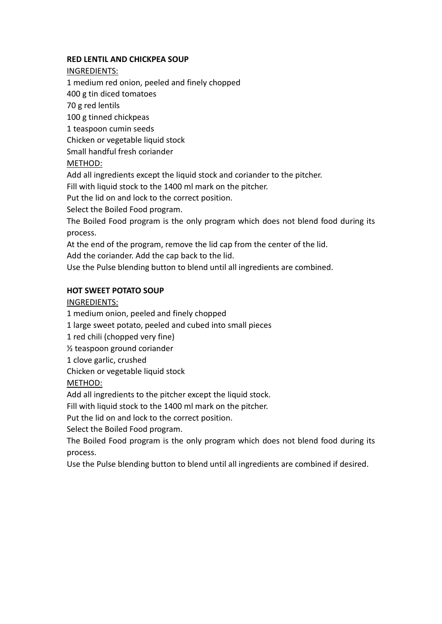## **RED LENTIL AND CHICKPEA SOUP**

## INGREDIENTS:

1 medium red onion, peeled and finely chopped

400 g tin diced tomatoes

70 g red lentils

100 g tinned chickpeas

1 teaspoon cumin seeds

Chicken or vegetable liquid stock

Small handful fresh coriander

# METHOD:

Add all ingredients except the liquid stock and coriander to the pitcher.

Fill with liquid stock to the 1400 ml mark on the pitcher.

Put the lid on and lock to the correct position.

Select the Boiled Food program.

The Boiled Food program is the only program which does not blend food during its process.

At the end of the program, remove the lid cap from the center of the lid.

Add the coriander. Add the cap back to the lid.

Use the Pulse blending button to blend until all ingredients are combined.

# **HOT SWEET POTATO SOUP**

# INGREDIENTS:

1 medium onion, peeled and finely chopped

1 large sweet potato, peeled and cubed into small pieces

1 red chili (chopped very fine)

½ teaspoon ground coriander

1 clove garlic, crushed

Chicken or vegetable liquid stock

METHOD:

Add all ingredients to the pitcher except the liquid stock.

Fill with liquid stock to the 1400 ml mark on the pitcher.

Put the lid on and lock to the correct position.

Select the Boiled Food program.

The Boiled Food program is the only program which does not blend food during its process.

Use the Pulse blending button to blend until all ingredients are combined if desired.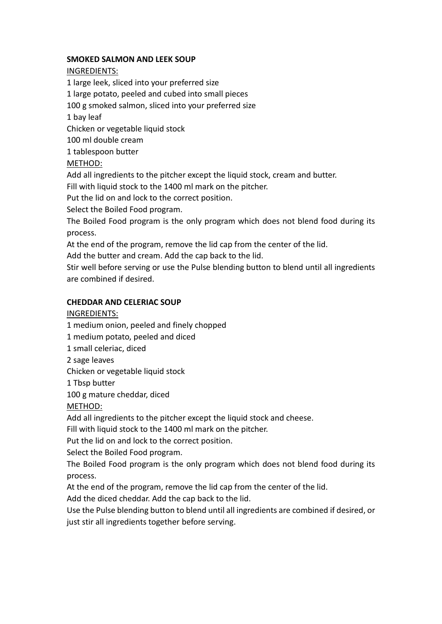## **SMOKED SALMON AND LEEK SOUP**

## INGREDIENTS:

1 large leek, sliced into your preferred size 1 large potato, peeled and cubed into small pieces 100 g smoked salmon, sliced into your preferred size 1 bay leaf Chicken or vegetable liquid stock 100 ml double cream 1 tablespoon butter METHOD: Add all ingredients to the pitcher except the liquid stock, cream and butter.

Fill with liquid stock to the 1400 ml mark on the pitcher.

Put the lid on and lock to the correct position.

Select the Boiled Food program.

The Boiled Food program is the only program which does not blend food during its process.

At the end of the program, remove the lid cap from the center of the lid.

Add the butter and cream. Add the cap back to the lid.

Stir well before serving or use the Pulse blending button to blend until all ingredients are combined if desired.

## **CHEDDAR AND CELERIAC SOUP**

## INGREDIENTS:

1 medium onion, peeled and finely chopped

1 medium potato, peeled and diced

- 1 small celeriac, diced
- 2 sage leaves

Chicken or vegetable liquid stock

1 Tbsp butter

100 g mature cheddar, diced

METHOD:

Add all ingredients to the pitcher except the liquid stock and cheese.

Fill with liquid stock to the 1400 ml mark on the pitcher.

Put the lid on and lock to the correct position.

Select the Boiled Food program.

The Boiled Food program is the only program which does not blend food during its process.

At the end of the program, remove the lid cap from the center of the lid.

Add the diced cheddar. Add the cap back to the lid.

Use the Pulse blending button to blend until all ingredients are combined if desired, or just stir all ingredients together before serving.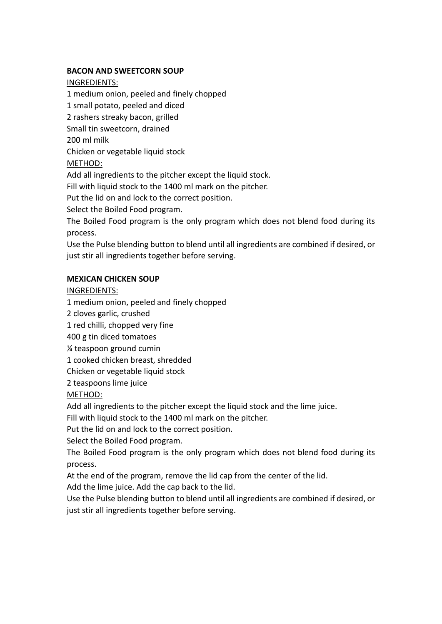## **BACON AND SWEETCORN SOUP**

INGREDIENTS:

1 medium onion, peeled and finely chopped

1 small potato, peeled and diced

2 rashers streaky bacon, grilled

Small tin sweetcorn, drained

200 ml milk

Chicken or vegetable liquid stock

# METHOD:

Add all ingredients to the pitcher except the liquid stock.

Fill with liquid stock to the 1400 ml mark on the pitcher.

Put the lid on and lock to the correct position.

Select the Boiled Food program.

The Boiled Food program is the only program which does not blend food during its process.

Use the Pulse blending button to blend until all ingredients are combined if desired, or just stir all ingredients together before serving.

# **MEXICAN CHICKEN SOUP**

INGREDIENTS:

1 medium onion, peeled and finely chopped

2 cloves garlic, crushed

1 red chilli, chopped very fine

400 g tin diced tomatoes

¼ teaspoon ground cumin

1 cooked chicken breast, shredded

Chicken or vegetable liquid stock

2 teaspoons lime juice

METHOD:

Add all ingredients to the pitcher except the liquid stock and the lime juice.

Fill with liquid stock to the 1400 ml mark on the pitcher.

Put the lid on and lock to the correct position.

Select the Boiled Food program.

The Boiled Food program is the only program which does not blend food during its process.

At the end of the program, remove the lid cap from the center of the lid.

Add the lime juice. Add the cap back to the lid.

Use the Pulse blending button to blend until all ingredients are combined if desired, or just stir all ingredients together before serving.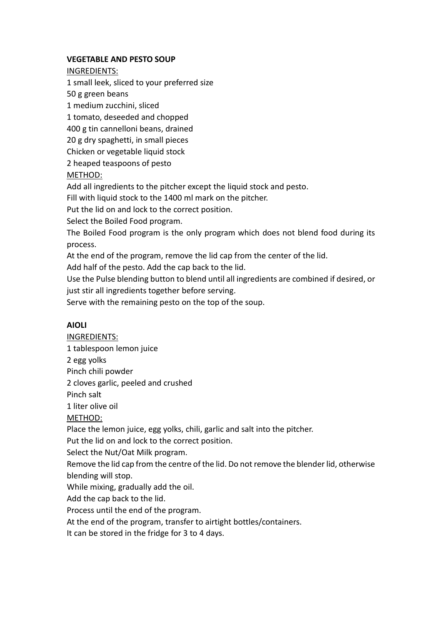## **VEGETABLE AND PESTO SOUP**

INGREDIENTS:

1 small leek, sliced to your preferred size

50 g green beans

1 medium zucchini, sliced

1 tomato, deseeded and chopped

400 g tin cannelloni beans, drained

20 g dry spaghetti, in small pieces

Chicken or vegetable liquid stock

2 heaped teaspoons of pesto

# METHOD:

Add all ingredients to the pitcher except the liquid stock and pesto.

Fill with liquid stock to the 1400 ml mark on the pitcher.

Put the lid on and lock to the correct position.

Select the Boiled Food program.

The Boiled Food program is the only program which does not blend food during its process.

At the end of the program, remove the lid cap from the center of the lid.

Add half of the pesto. Add the cap back to the lid.

Use the Pulse blending button to blend until all ingredients are combined if desired, or just stir all ingredients together before serving.

Serve with the remaining pesto on the top of the soup.

# **AIOLI**

# INGREDIENTS:

1 tablespoon lemon juice

2 egg yolks

Pinch chili powder

2 cloves garlic, peeled and crushed

Pinch salt

1 liter olive oil

# METHOD:

Place the lemon juice, egg yolks, chili, garlic and salt into the pitcher.

Put the lid on and lock to the correct position.

Select the Nut/Oat Milk program.

Remove the lid cap from the centre of the lid. Do not remove the blender lid, otherwise blending will stop.

While mixing, gradually add the oil.

Add the cap back to the lid.

Process until the end of the program.

At the end of the program, transfer to airtight bottles/containers.

It can be stored in the fridge for 3 to 4 days.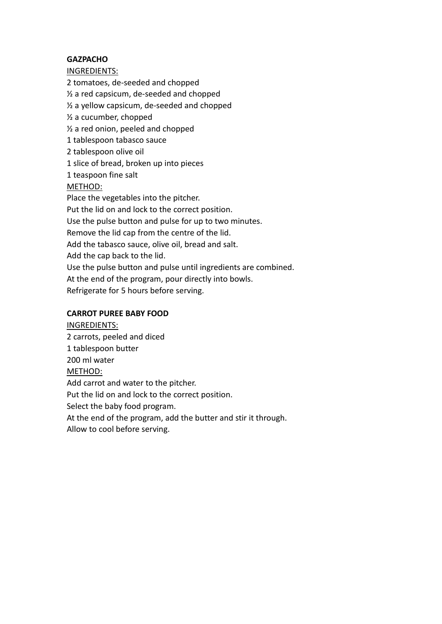## **GAZPACHO**

## INGREDIENTS:

2 tomatoes, de-seeded and chopped ½ a red capsicum, de-seeded and chopped ½ a yellow capsicum, de-seeded and chopped ½ a cucumber, chopped ½ a red onion, peeled and chopped 1 tablespoon tabasco sauce 2 tablespoon olive oil 1 slice of bread, broken up into pieces 1 teaspoon fine salt METHOD: Place the vegetables into the pitcher. Put the lid on and lock to the correct position. Use the pulse button and pulse for up to two minutes. Remove the lid cap from the centre of the lid. Add the tabasco sauce, olive oil, bread and salt. Add the cap back to the lid. Use the pulse button and pulse until ingredients are combined. At the end of the program, pour directly into bowls. Refrigerate for 5 hours before serving.

# **CARROT PUREE BABY FOOD**

INGREDIENTS: 2 carrots, peeled and diced 1 tablespoon butter 200 ml water METHOD: Add carrot and water to the pitcher. Put the lid on and lock to the correct position. Select the baby food program. At the end of the program, add the butter and stir it through. Allow to cool before serving.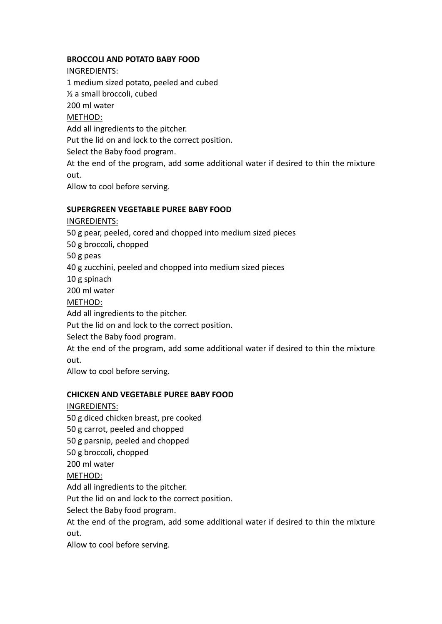## **BROCCOLI AND POTATO BABY FOOD**

## INGREDIENTS:

1 medium sized potato, peeled and cubed ½ a small broccoli, cubed 200 ml water METHOD:

Add all ingredients to the pitcher.

Put the lid on and lock to the correct position.

Select the Baby food program.

At the end of the program, add some additional water if desired to thin the mixture out.

Allow to cool before serving.

# **SUPERGREEN VEGETABLE PUREE BABY FOOD**

INGREDIENTS:

50 g pear, peeled, cored and chopped into medium sized pieces

50 g broccoli, chopped

50 g peas

40 g zucchini, peeled and chopped into medium sized pieces

10 g spinach

200 ml water

METHOD:

Add all ingredients to the pitcher.

Put the lid on and lock to the correct position.

Select the Baby food program.

At the end of the program, add some additional water if desired to thin the mixture out.

Allow to cool before serving.

## **CHICKEN AND VEGETABLE PUREE BABY FOOD**

## INGREDIENTS:

50 g diced chicken breast, pre cooked

50 g carrot, peeled and chopped

50 g parsnip, peeled and chopped

50 g broccoli, chopped

200 ml water

METHOD:

Add all ingredients to the pitcher.

Put the lid on and lock to the correct position.

Select the Baby food program.

At the end of the program, add some additional water if desired to thin the mixture out.

Allow to cool before serving.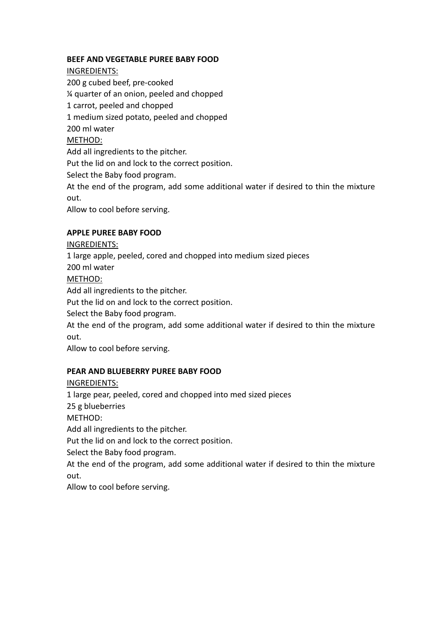## **BEEF AND VEGETABLE PUREE BABY FOOD**

INGREDIENTS:

200 g cubed beef, pre-cooked ¼ quarter of an onion, peeled and chopped 1 carrot, peeled and chopped 1 medium sized potato, peeled and chopped 200 ml water METHOD: Add all ingredients to the pitcher. Put the lid on and lock to the correct position. Select the Baby food program.

At the end of the program, add some additional water if desired to thin the mixture out.

Allow to cool before serving.

# **APPLE PUREE BABY FOOD**

## INGREDIENTS:

1 large apple, peeled, cored and chopped into medium sized pieces

200 ml water

# METHOD:

Add all ingredients to the pitcher.

Put the lid on and lock to the correct position.

Select the Baby food program.

At the end of the program, add some additional water if desired to thin the mixture out.

Allow to cool before serving.

# **PEAR AND BLUEBERRY PUREE BABY FOOD**

INGREDIENTS:

1 large pear, peeled, cored and chopped into med sized pieces

25 g blueberries

METHOD:

Add all ingredients to the pitcher.

Put the lid on and lock to the correct position.

Select the Baby food program.

At the end of the program, add some additional water if desired to thin the mixture out.

Allow to cool before serving.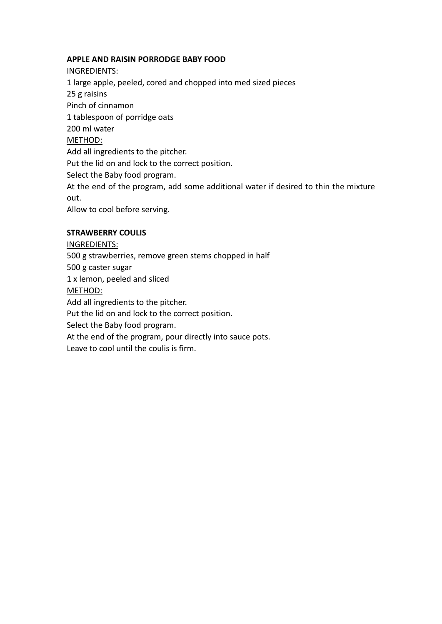## **APPLE AND RAISIN PORRODGE BABY FOOD**

INGREDIENTS:

1 large apple, peeled, cored and chopped into med sized pieces 25 g raisins Pinch of cinnamon 1 tablespoon of porridge oats 200 ml water METHOD: Add all ingredients to the pitcher. Put the lid on and lock to the correct position. Select the Baby food program. At the end of the program, add some additional water if desired to thin the mixture out.

Allow to cool before serving.

### **STRAWBERRY COULIS**

#### INGREDIENTS:

500 g strawberries, remove green stems chopped in half

500 g caster sugar

1 x lemon, peeled and sliced

METHOD:

Add all ingredients to the pitcher.

Put the lid on and lock to the correct position.

Select the Baby food program.

At the end of the program, pour directly into sauce pots.

Leave to cool until the coulis is firm.